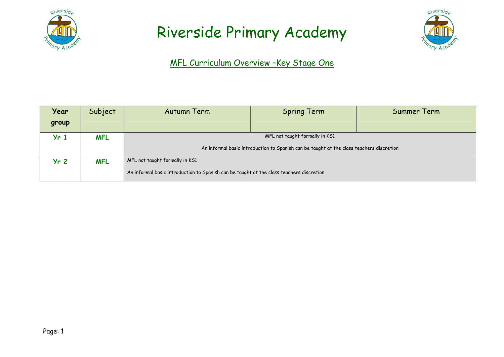



#### MFL Curriculum Overview –Key Stage One

| Year            | Subject    | Autumn Term                                                                              | <b>Spring Term</b> | Summer Term |
|-----------------|------------|------------------------------------------------------------------------------------------|--------------------|-------------|
| group           |            |                                                                                          |                    |             |
| Yr <sub>1</sub> | <b>MFL</b> | MFL not taught formally in KS1                                                           |                    |             |
|                 |            | An informal basic introduction to Spanish can be taught at the class teachers discretion |                    |             |
| Yr <sub>2</sub> | <b>MFL</b> | MFL not taught formally in KS1                                                           |                    |             |
|                 |            | An informal basic introduction to Spanish can be taught at the class teachers discretion |                    |             |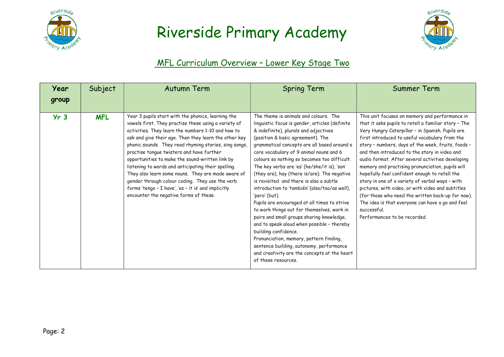



#### MFL Curriculum Overview – Lower Key Stage Two

| Year<br>group   | Subject    | Autumn Term                                                                                                                                                                                                                                                                                                                                                                                                                                                                                                                                                                                                                                         | <b>Spring Term</b>                                                                                                                                                                                                                                                                                                                                                                                                                                                                                                                                                                                                                                                                                                                                                                                                                                                                                          | Summer Term                                                                                                                                                                                                                                                                                                                                                                                                                                                                                                                                                                                                                                                                                                                                   |
|-----------------|------------|-----------------------------------------------------------------------------------------------------------------------------------------------------------------------------------------------------------------------------------------------------------------------------------------------------------------------------------------------------------------------------------------------------------------------------------------------------------------------------------------------------------------------------------------------------------------------------------------------------------------------------------------------------|-------------------------------------------------------------------------------------------------------------------------------------------------------------------------------------------------------------------------------------------------------------------------------------------------------------------------------------------------------------------------------------------------------------------------------------------------------------------------------------------------------------------------------------------------------------------------------------------------------------------------------------------------------------------------------------------------------------------------------------------------------------------------------------------------------------------------------------------------------------------------------------------------------------|-----------------------------------------------------------------------------------------------------------------------------------------------------------------------------------------------------------------------------------------------------------------------------------------------------------------------------------------------------------------------------------------------------------------------------------------------------------------------------------------------------------------------------------------------------------------------------------------------------------------------------------------------------------------------------------------------------------------------------------------------|
| Yr <sub>3</sub> | <b>MFL</b> | Year 3 pupils start with the phonics, learning the<br>vowels first. They practise these using a variety of<br>activities. They learn the numbers 1-10 and how to<br>ask and give their age. Then they learn the other key<br>phonic sounds. They read rhyming stories, sing songs,<br>practise tongue twisters and have further<br>opportunities to make the sound-written link by<br>listening to words and anticipating their spelling.<br>They also learn some nouns. They are made aware of<br>gender through colour coding. They use the verb<br>forms 'tengo - I have', 'es - it is' and implicitly<br>encounter the negative forms of these. | The theme is animals and colours. The<br>linguistic focus is gender, articles (definite<br>& indefinite), plurals and adjectives<br>(position & basic agreement). The<br>grammatical concepts are all based around a<br>core vocabulary of 9 animal nouns and 6<br>colours so nothing so becomes too difficult.<br>The key verbs are 'es' (he/she/it is), 'son'<br>(they are), hay (there is/are). The negative<br>is revisited and there is also a subtle<br>introduction to 'también' (also/too/as well),<br>'pero' (but).<br>Pupils are encouraged at all times to strive<br>to work things out for themselves, work in<br>pairs and small groups sharing knowledge,<br>and to speak aloud when possible - thereby<br>building confidence.<br>Pronunciation, memory, pattern finding,<br>sentence building, autonomy, performance<br>and creativity are the concepts at the heart<br>of these resources. | This unit focuses on memory and performance in<br>that it asks pupils to retell a familiar story - The<br>Very Hungry Caterpillar - in Spanish. Pupils are<br>first introduced to useful vocabulary from the<br>story - numbers, days of the week, fruits, foods -<br>and then introduced to the story in video and<br>audio format. After several activities developing<br>memory and practising pronunciation, pupils will<br>hopefully feel confident enough to retell the<br>story in one of a variety of verbal ways - with<br>pictures, with video, or with video and subtitles<br>(for those who need the written back-up for now).<br>The idea is that everyone can have a go and feel<br>successful.<br>Performances to be recorded. |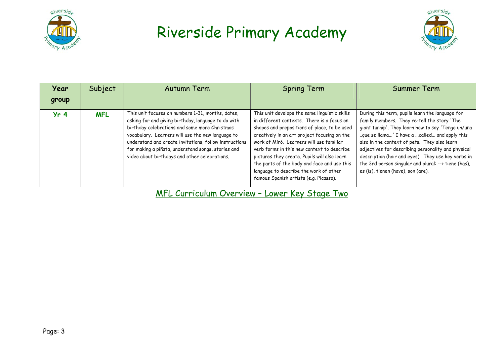



| Year<br>group   | Subject    | Autumn Term                                                                                                                                                                                                                                                                                                                                                                     | <b>Spring Term</b>                                                                                                                                                                                                                                                                                                                                                                                                                                                       | Summer Term                                                                                                                                                                                                                                                                                                                                                                                                                                                    |
|-----------------|------------|---------------------------------------------------------------------------------------------------------------------------------------------------------------------------------------------------------------------------------------------------------------------------------------------------------------------------------------------------------------------------------|--------------------------------------------------------------------------------------------------------------------------------------------------------------------------------------------------------------------------------------------------------------------------------------------------------------------------------------------------------------------------------------------------------------------------------------------------------------------------|----------------------------------------------------------------------------------------------------------------------------------------------------------------------------------------------------------------------------------------------------------------------------------------------------------------------------------------------------------------------------------------------------------------------------------------------------------------|
| Yr <sub>4</sub> | <b>MFL</b> | This unit focuses on numbers 1-31, months, dates,<br>asking for and giving birthday, language to do with<br>birthday celebrations and some more Christmas<br>vocabulary. Learners will use the new language to<br>understand and create invitations, follow instructions<br>for making a piñata, understand songs, stories and<br>video about birthdays and other celebrations. | This unit develops the same linguistic skills<br>in different contexts. There is a focus on<br>shapes and prepositions of place, to be used<br>creatively in an art project focusing on the<br>work of Miró. Learners will use familiar<br>verb forms in this new context to describe<br>pictures they create. Pupils will also learn<br>the parts of the body and face and use this<br>language to describe the work of other<br>famous Spanish artists (e.g. Picasso). | During this term, pupils learn the language for<br>family members. They re-tell the story 'The<br>giant turnip'. They learn how to say 'Tengo un/una<br>que se llama' I have a called and apply this<br>also in the context of pets. They also learn<br>adjectives for describing personality and physical<br>description (hair and eyes). They use key verbs in<br>the 3rd person singular and plural: --> tiene (has),<br>es (is), tienen (have), son (are). |

MFL Curriculum Overview – Lower Key Stage Two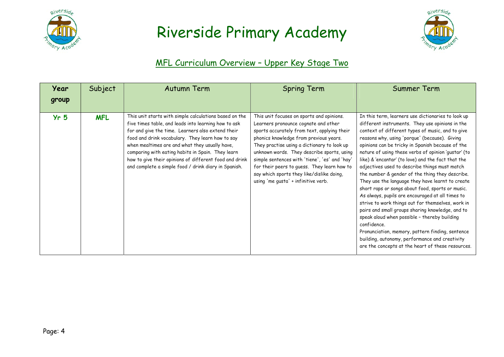



#### MFL Curriculum Overview – Upper Key Stage Two

| Year<br>group   | Subject    | Autumn Term                                                                                                                                                                                                                                                                                                                                                                                                                                      | <b>Spring Term</b>                                                                                                                                                                                                                                                                                                                                                                                                                                          | Summer Term                                                                                                                                                                                                                                                                                                                                                                                                                                                                                                                                                                                                                                                                                                                                                                                                                                                                                                                                                                    |
|-----------------|------------|--------------------------------------------------------------------------------------------------------------------------------------------------------------------------------------------------------------------------------------------------------------------------------------------------------------------------------------------------------------------------------------------------------------------------------------------------|-------------------------------------------------------------------------------------------------------------------------------------------------------------------------------------------------------------------------------------------------------------------------------------------------------------------------------------------------------------------------------------------------------------------------------------------------------------|--------------------------------------------------------------------------------------------------------------------------------------------------------------------------------------------------------------------------------------------------------------------------------------------------------------------------------------------------------------------------------------------------------------------------------------------------------------------------------------------------------------------------------------------------------------------------------------------------------------------------------------------------------------------------------------------------------------------------------------------------------------------------------------------------------------------------------------------------------------------------------------------------------------------------------------------------------------------------------|
| Yr <sub>5</sub> | <b>MFL</b> | This unit starts with simple calculations based on the<br>five times table, and leads into learning how to ask<br>for and give the time. Learners also extend their<br>food and drink vocabulary. They learn how to say<br>when mealtimes are and what they usually have,<br>comparing with eating habits in Spain. They learn<br>how to give their opinions of different food and drink<br>and complete a simple food / drink diary in Spanish. | This unit focuses on sports and opinions.<br>Learners pronounce cognate and other<br>sports accurately from text, applying their<br>phonics knowledge from previous years.<br>They practise using a dictionary to look up<br>unknown words. They describe sports, using<br>simple sentences with 'tiene', 'es' and 'hay'<br>for their peers to guess. They learn how to<br>say which sports they like/dislike doing,<br>using 'me gusta' + infinitive verb. | In this term, learners use dictionaries to look up<br>different instruments. They use opinions in the<br>context of different types of music, and to give<br>reasons why, using 'porque' (because). Giving<br>opinions can be tricky in Spanish because of the<br>nature of using these verbs of opinion 'gustar' (to<br>like) & 'encantar' (to love) and the fact that the<br>adjectives used to describe things must match<br>the number & gender of the thing they describe.<br>They use the language they have learnt to create<br>short raps or songs about food, sports or music.<br>As always, pupils are encouraged at all times to<br>strive to work things out for themselves, work in<br>pairs and small groups sharing knowledge, and to<br>speak aloud when possible - thereby building<br>confidence.<br>Pronunciation, memory, pattern finding, sentence<br>building, autonomy, performance and creativity<br>are the concepts at the heart of these resources. |